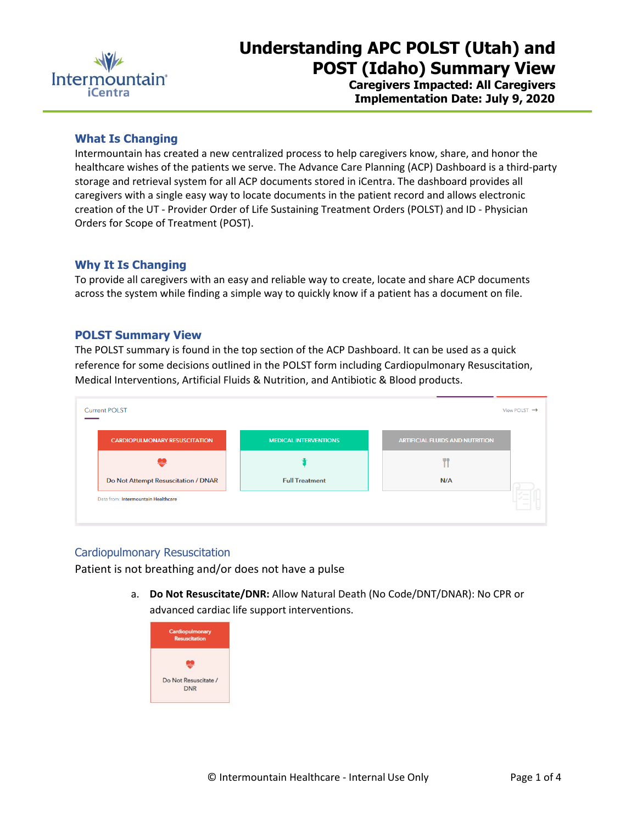

# **Understanding APC POLST (Utah) and POST (Idaho) Summary View**

**Caregivers Impacted: All Caregivers Implementation Date: July 9, 2020**

#### **What Is Changing**

Intermountain has created a new centralized process to help caregivers know, share, and honor the healthcare wishes of the patients we serve. The Advance Care Planning (ACP) Dashboard is a third-party storage and retrieval system for all ACP documents stored in iCentra. The dashboard provides all caregivers with a single easy way to locate documents in the patient record and allows electronic creation of the UT - Provider Order of Life Sustaining Treatment Orders (POLST) and ID - Physician Orders for Scope of Treatment (POST).

#### **Why It Is Changing**

To provide all caregivers with an easy and reliable way to create, locate and share ACP documents across the system while finding a simple way to quickly know if a patient has a document on file.

#### **POLST Summary View**

The POLST summary is found in the top section of the ACP Dashboard. It can be used as a quick reference for some decisions outlined in the POLST form including Cardiopulmonary Resuscitation, Medical Interventions, Artificial Fluids & Nutrition, and Antibiotic & Blood products.

| <b>CARDIOPULMONARY RESUSCITATION</b> | <b>MEDICAL INTERVENTIONS</b> | <b>ARTIFICIAL FLUIDS AND NUTRITION</b> |
|--------------------------------------|------------------------------|----------------------------------------|
|                                      |                              |                                        |
| Do Not Attempt Resuscitation / DNAR  | <b>Full Treatment</b>        | N/A                                    |

## Cardiopulmonary Resuscitation

Patient is not breathing and/or does not have a pulse

a. **Do Not Resuscitate/DNR:** Allow Natural Death (No Code/DNT/DNAR): No CPR or advanced cardiac life support interventions.

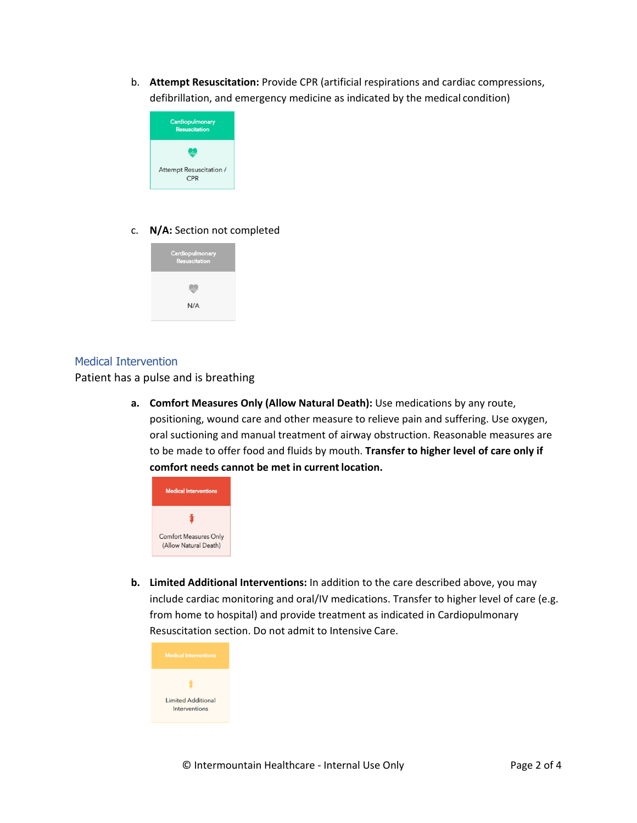b. **Attempt Resuscitation:** Provide CPR (artificial respirations and cardiac compressions, defibrillation, and emergency medicine as indicated by the medical condition)



#### c. **N/A:** Section not completed



#### Medical Intervention

Patient has a pulse and is breathing

**a. Comfort Measures Only (Allow Natural Death):** Use medications by any route, positioning, wound care and other measure to relieve pain and suffering. Use oxygen, oral suctioning and manual treatment of airway obstruction. Reasonable measures are to be made to offer food and fluids by mouth. **Transfer to higher level of care only if**  comfort needs cannot be met in current location.



**b. Limited Additional Interventions:** In addition to the care described above, you may include cardiac monitoring and oral/IV medications. Transfer to higher level of care (e.g. from home to hospital) and provide treatment as indicated in Cardiopulmonary Resuscitation section. Do not admit to Intensive Care.

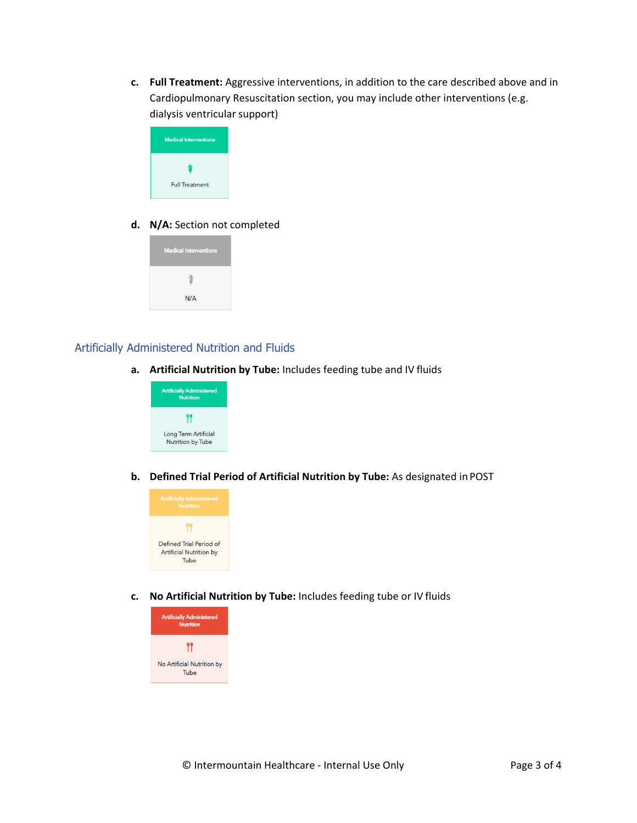**c. Full Treatment:** Aggressive interventions, in addition to the care described above and in Cardiopulmonary Resuscitation section, you may include other interventions (e.g. dialysis ventricular support)

| <b>Medical Interventions</b> |  |
|------------------------------|--|
| ۰                            |  |
| <b>Full Treatment</b>        |  |

### **d. N/A:** Section not completed



#### Artificially Administered Nutrition and Fluids

**a. Artificial Nutrition by Tube:** Includes feeding tube and IV fluids



**b. Defined Trial Period of Artificial Nutrition by Tube:** As designated in POST



**c. No Artificial Nutrition by Tube:** Includes feeding tube or IV fluids